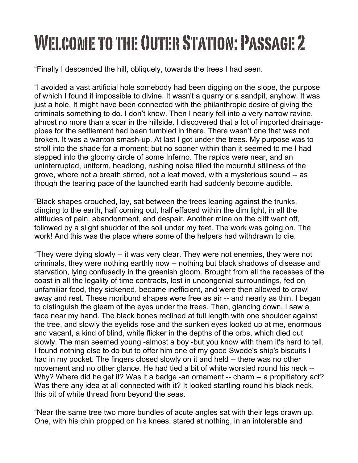## Welcome to the Outer Station: Passage 2

"Finally I descended the hill, obliquely, towards the trees I had seen.

"I avoided a vast artificial hole somebody had been digging on the slope, the purpose of which I found it impossible to divine. It wasn't a quarry or a sandpit, anyhow. It was just a hole. It might have been connected with the philanthropic desire of giving the criminals something to do. I don't know. Then I nearly fell into a very narrow ravine, almost no more than a scar in the hillside. I discovered that a lot of imported drainagepipes for the settlement had been tumbled in there. There wasn't one that was not broken. It was a wanton smash-up. At last I got under the trees. My purpose was to stroll into the shade for a moment; but no sooner within than it seemed to me I had stepped into the gloomy circle of some Inferno. The rapids were near, and an uninterrupted, uniform, headlong, rushing noise filled the mournful stillness of the grove, where not a breath stirred, not a leaf moved, with a mysterious sound -- as though the tearing pace of the launched earth had suddenly become audible.

"Black shapes crouched, lay, sat between the trees leaning against the trunks, clinging to the earth, half coming out, half effaced within the dim light, in all the attitudes of pain, abandonment, and despair. Another mine on the cliff went off, followed by a slight shudder of the soil under my feet. The work was going on. The work! And this was the place where some of the helpers had withdrawn to die.

"They were dying slowly -- it was very clear. They were not enemies, they were not criminals, they were nothing earthly now -- nothing but black shadows of disease and starvation, lying confusedly in the greenish gloom. Brought from all the recesses of the coast in all the legality of time contracts, lost in uncongenial surroundings, fed on unfamiliar food, they sickened, became inefficient, and were then allowed to crawl away and rest. These moribund shapes were free as air -- and nearly as thin. I began to distinguish the gleam of the eyes under the trees. Then, glancing down, I saw a face near my hand. The black bones reclined at full length with one shoulder against the tree, and slowly the eyelids rose and the sunken eyes looked up at me, enormous and vacant, a kind of blind, white flicker in the depths of the orbs, which died out slowly. The man seemed young -almost a boy -but you know with them it's hard to tell. I found nothing else to do but to offer him one of my good Swede's ship's biscuits I had in my pocket. The fingers closed slowly on it and held -- there was no other movement and no other glance. He had tied a bit of white worsted round his neck -- Why? Where did he get it? Was it a badge -an ornament -- charm -- a propitiatory act? Was there any idea at all connected with it? It looked startling round his black neck, this bit of white thread from beyond the seas.

"Near the same tree two more bundles of acute angles sat with their legs drawn up. One, with his chin propped on his knees, stared at nothing, in an intolerable and